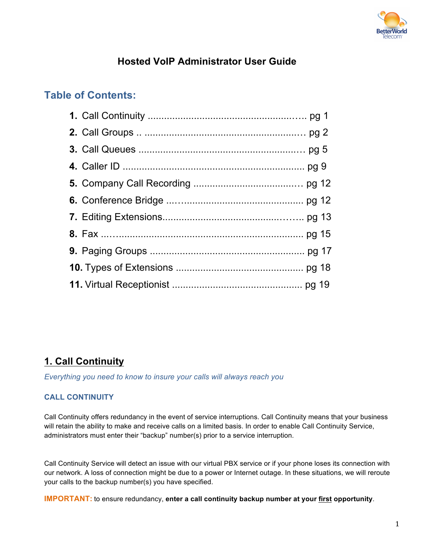

# **Hosted VoIP Administrator User Guide**

# **Table of Contents:**

# **1. Call Continuity**

*Everything you need to know to insure your calls will always reach you*

## **CALL CONTINUITY**

Call Continuity offers redundancy in the event of service interruptions. Call Continuity means that your business will retain the ability to make and receive calls on a limited basis. In order to enable Call Continuity Service, administrators must enter their "backup" number(s) prior to a service interruption.

Call Continuity Service will detect an issue with our virtual PBX service or if your phone loses its connection with our network. A loss of connection might be due to a power or Internet outage. In these situations, we will reroute your calls to the backup number(s) you have specified.

**IMPORTANT:** to ensure redundancy, **enter a call continuity backup number at your first opportunity**.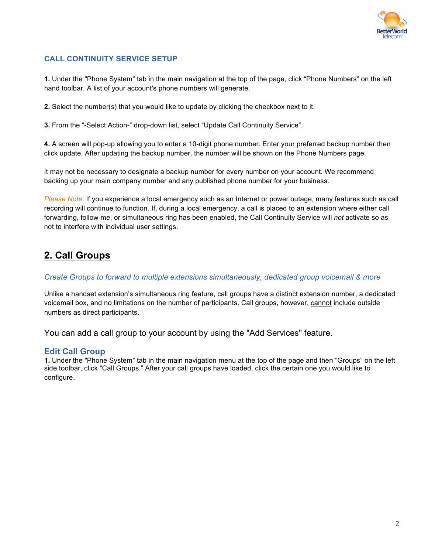

### **CALL CONTINUITY SERVICE SETUP**

**1.** Under the "Phone System" tab in the main navigation at the top of the page, click "Phone Numbers" on the left hand toolbar. A list of your account's phone numbers will generate.

**2.** Select the number(s) that you would like to update by clicking the checkbox next to it.

**3.** From the "-Select Action-" drop-down list, select "Update Call Continuity Service".

**4.** A screen will pop-up allowing you to enter a 10-digit phone number. Enter your preferred backup number then click update. After updating the backup number, the number will be shown on the Phone Numbers page.

It may not be necessary to designate a backup number for every number on your account. We recommend backing up your main company number and any published phone number for your business.

*Please Note*: If you experience a local emergency such as an Internet or power outage, many features such as call recording will continue to function. If, during a local emergency, a call is placed to an extension where either call forwarding, follow me, or simultaneous ring has been enabled, the Call Continuity Service will *not* activate so as not to interfere with individual user settings.

# **2. Call Groups**

*Create Groups to forward to multiple extensions simultaneously, dedicated group voicemail & more* 

Unlike a handset extension's simultaneous ring feature, call groups have a distinct extension number, a dedicated voicemail box, and no limitations on the number of participants. Call groups, however, cannot include outside numbers as direct participants.

You can add a call group to your account by using the "Add Services" feature.

### **Edit Call Group**

**1.** Under the "Phone System" tab in the main navigation menu at the top of the page and then "Groups" on the left side toolbar, click "Call Groups." After your call groups have loaded, click the certain one you would like to configure.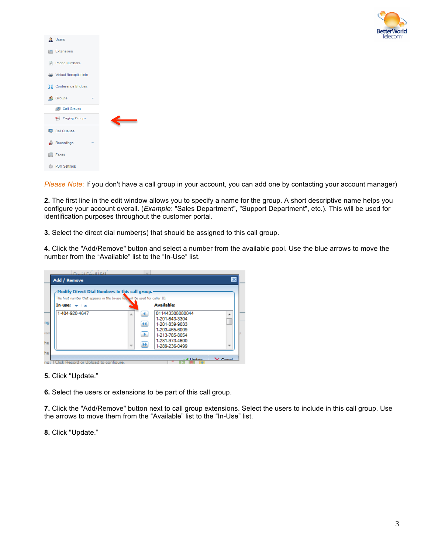

| <b>R</b> Users                     |   |  |
|------------------------------------|---|--|
| Extensions                         |   |  |
| $\overrightarrow{H}$ Phone Numbers |   |  |
| <b>Wirtual Receptionists</b>       |   |  |
| 블볼 Conference Bridges              |   |  |
| <b>R</b> Groups                    | ÷ |  |
|                                    |   |  |
| Call Groups                        |   |  |
| Paging Groups                      |   |  |
| Call Queues                        |   |  |
| Recordings                         |   |  |
| Faxes                              |   |  |

*Please Note*: If you don't have a call group in your account, you can add one by contacting your account manager)

**2.** The first line in the edit window allows you to specify a name for the group. A short descriptive name helps you configure your account overall. (*Example*: "Sales Department", "Support Department", etc.). This will be used for identification purposes throughout the customer portal.

**3.** Select the direct dial number(s) that should be assigned to this call group.

**4.** Click the "Add/Remove" button and select a number from the available pool. Use the blue arrows to move the number from the "Available" list to the "In-Use" list.

| <b>Add / Remove</b>                                                          |                                        |                                                                                                                             | $\vert x \vert$ |
|------------------------------------------------------------------------------|----------------------------------------|-----------------------------------------------------------------------------------------------------------------------------|-----------------|
| Modify Direct Dial Numbers in this call group.                               |                                        |                                                                                                                             |                 |
| The first number that appears in the In-use lisk will be used for caller ID. |                                        |                                                                                                                             |                 |
| $In-use: -1 - $                                                              |                                        | <b>Available:</b>                                                                                                           |                 |
| 1-404-920-4647                                                               | A<br><b>A</b><br><b>IX</b><br>$\equiv$ | 011443308080044<br>1-201-643-3304<br>1-201-839-9033<br>1-203-465-6009<br>1-213-785-8054<br>1-281-973-4600<br>1-289-236-0499 | ٠               |
|                                                                              |                                        | <b><i>Electronic</i></b>                                                                                                    |                 |

**5.** Click "Update."

**6.** Select the users or extensions to be part of this call group.

**7.** Click the "Add/Remove" button next to call group extensions. Select the users to include in this call group. Use the arrows to move them from the "Available" list to the "In-Use" list.

**8.** Click "Update."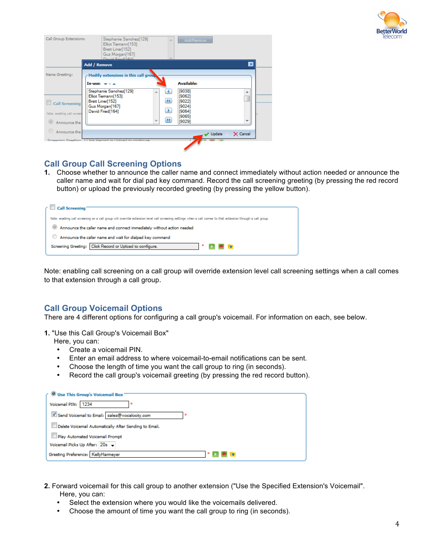

| Call Group Extensions:     | Stephanie Sanchez[129]<br>Elliot Tiemann[153]<br>Brett Liner[152]<br>Gus Morgan[167]<br>David Fried(1641 |                      | Add/Remove        |                 |
|----------------------------|----------------------------------------------------------------------------------------------------------|----------------------|-------------------|-----------------|
|                            | <b>Add / Remove</b>                                                                                      |                      |                   | $\vert x \vert$ |
| Name Greeting:             | Modify extensions in this call group                                                                     |                      |                   |                 |
|                            | $In-use: -1 - $                                                                                          |                      | <b>Available:</b> |                 |
|                            | Stephanie Sanchez[129]<br>Elliot Tiemann[153]                                                            |                      | [9038]<br>[9062]  | ▲               |
| <b>Call Screening</b>      | Brett Liner[152]<br>Gus Morgan[167]                                                                      | $\blacktriangleleft$ | 190221<br>[9024]  |                 |
| Note: enabling call screen | David Fried[164]                                                                                         |                      | [9064]            |                 |
| Announce the               |                                                                                                          | <b>IPP</b>           | [9065]<br>[9029]  |                 |
| Announce the               |                                                                                                          |                      | Update            | X Cancel        |
|                            | Screening Greeting: 1 Click Report of Unload to continue                                                 |                      |                   |                 |
|                            |                                                                                                          |                      |                   |                 |

## **Call Group Call Screening Options**

**1.** Choose whether to announce the caller name and connect immediately without action needed or announce the caller name and wait for dial pad key command. Record the call screening greeting (by pressing the red record button) or upload the previously recorded greeting (by pressing the yellow button).

|            | <b>Call Screening</b>                                                                                                                                         |
|------------|---------------------------------------------------------------------------------------------------------------------------------------------------------------|
|            |                                                                                                                                                               |
|            | Note: enabling call screening on a call group will override extension level call screening settings when a call comes to that extension through a call group. |
| $^{\circ}$ | Announce the caller name and connect immediately without action needed                                                                                        |
|            | Announce the caller name and wait for dialpad key command                                                                                                     |
|            | Screening Greeting: Click Record or Upload to configure.<br><b>D. 8 14</b>                                                                                    |
|            |                                                                                                                                                               |

Note: enabling call screening on a call group will override extension level call screening settings when a call comes to that extension through a call group.

## **Call Group Voicemail Options**

There are 4 different options for configuring a call group's voicemail. For information on each, see below.

**1.** "Use this Call Group's Voicemail Box"

Here, you can:

- Create a voicemail PIN.
- Enter an email address to where voicemail-to-email notifications can be sent.
- Choose the length of time you want the call group to ring (in seconds).
- Record the call group's voicemail greeting (by pressing the red record button).

| $\in \mathsf{O}$ Use This Group's Voicemail Box $\bar{ }$ |
|-----------------------------------------------------------|
| Voicemail PIN:<br>1234                                    |
| Send Voicemail to Email: sales@vocalocity.com             |
| Delete Voicemail Automatically After Sending to Email.    |
| Play Automated Voicemail Prompt                           |
| Voicemail Picks Up After: 20s -                           |
| Greeting Preference: KellyHarmeyer                        |

- **2.** Forward voicemail for this call group to another extension ("Use the Specified Extension's Voicemail". Here, you can:
	- Select the extension where you would like the voicemails delivered.
	- Choose the amount of time you want the call group to ring (in seconds).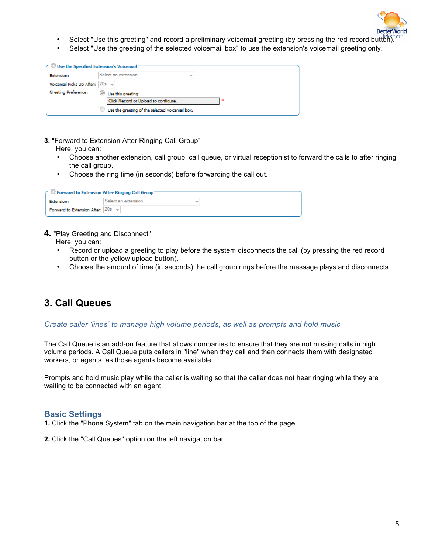

- Select "Use this greeting" and record a preliminary voicemail greeting (by pressing the red record button).
- Select "Use the greeting of the selected voicemail box" to use the extension's voicemail greeting only.

| $\curvearrowleft$ Use the Specified Extension's Voicemail $\triangleright$ |                                                 |  |
|----------------------------------------------------------------------------|-------------------------------------------------|--|
| Extension:                                                                 | Select an extension<br>$\overline{\phantom{a}}$ |  |
| Voicemail Picks Up After:                                                  | $ 20s -$                                        |  |
| Greeting Preference:                                                       | Use this areetina:                              |  |
|                                                                            | Click Record or Upload to configure.            |  |
|                                                                            | Use the greeting of the selected voicemail box. |  |

- **3.** "Forward to Extension After Ringing Call Group"
	- Here, you can:
	- Choose another extension, call group, call queue, or virtual receptionist to forward the calls to after ringing the call group.
	- Choose the ring time (in seconds) before forwarding the call out.

| ← © Forward to Extension After Ringing Call Group |                                                 |  |
|---------------------------------------------------|-------------------------------------------------|--|
| Extension:                                        | Select an extension<br>$\overline{\phantom{a}}$ |  |
| Forward to Extension After: $ 20s - \rangle$      |                                                 |  |

#### **4.** "Play Greeting and Disconnect"

Here, you can:

- Record or upload a greeting to play before the system disconnects the call (by pressing the red record button or the yellow upload button).
- Choose the amount of time (in seconds) the call group rings before the message plays and disconnects.

# **3. Call Queues**

#### *Create caller 'lines' to manage high volume periods, as well as prompts and hold music*

The Call Queue is an add-on feature that allows companies to ensure that they are not missing calls in high volume periods. A Call Queue puts callers in "line" when they call and then connects them with designated workers, or agents, as those agents become available.

Prompts and hold music play while the caller is waiting so that the caller does not hear ringing while they are waiting to be connected with an agent.

#### **Basic Settings**

- **1.** Click the "Phone System" tab on the main navigation bar at the top of the page.
- **2.** Click the "Call Queues" option on the left navigation bar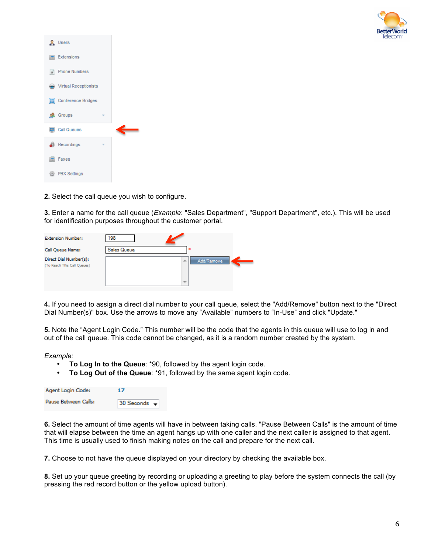

| <b>R</b> Users                             |   |  |
|--------------------------------------------|---|--|
| <b>Extensions</b>                          |   |  |
| $\frac{1}{2}$ Phone Numbers                |   |  |
| <b>Manufacturity</b> Virtual Receptionists |   |  |
| 웹 Conference Bridges                       |   |  |
| <b>R</b> Groups                            | ÷ |  |
| Call Queues                                |   |  |
| Recordings                                 |   |  |
| Faxes                                      |   |  |
|                                            |   |  |

**2.** Select the call queue you wish to configure.

**3.** Enter a name for the call queue (*Example*: "Sales Department", "Support Department", etc.). This will be used for identification purposes throughout the customer portal.

| <b>Extension Number:</b>                              | 198                |                                              |  |
|-------------------------------------------------------|--------------------|----------------------------------------------|--|
| Call Queue Name:                                      | <b>Sales Queue</b> |                                              |  |
| Direct Dial Number(s):<br>(To Reach This Call Queues) |                    | Add/Remove<br>A.<br>$\overline{\phantom{a}}$ |  |

**4.** If you need to assign a direct dial number to your call queue, select the "Add/Remove" button next to the "Direct Dial Number(s)" box. Use the arrows to move any "Available" numbers to "In-Use" and click "Update."

**5.** Note the "Agent Login Code." This number will be the code that the agents in this queue will use to log in and out of the call queue. This code cannot be changed, as it is a random number created by the system.

*Example:*

- **To Log In to the Queue**: \*90, followed by the agent login code.
- **To Log Out of the Queue**: \*91, followed by the same agent login code.

| Agent Login Code:    | 17           |
|----------------------|--------------|
| Pause Between Calls: | 30 Seconds - |

**6.** Select the amount of time agents will have in between taking calls. "Pause Between Calls" is the amount of time that will elapse between the time an agent hangs up with one caller and the next caller is assigned to that agent. This time is usually used to finish making notes on the call and prepare for the next call.

**7.** Choose to not have the queue displayed on your directory by checking the available box.

**8.** Set up your queue greeting by recording or uploading a greeting to play before the system connects the call (by pressing the red record button or the yellow upload button).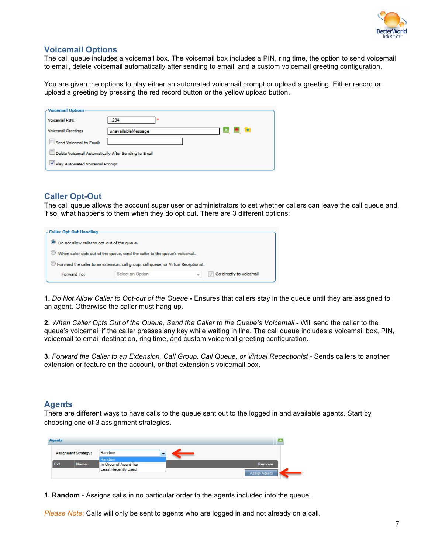

## **Voicemail Options**

The call queue includes a voicemail box. The voicemail box includes a PIN, ring time, the option to send voicemail to email, delete voicemail automatically after sending to email, and a custom voicemail greeting configuration.

You are given the options to play either an automated voicemail prompt or upload a greeting. Either record or upload a greeting by pressing the red record button or the yellow upload button.

| <b>Voicemail Options-</b>                             |                                           |  |  |
|-------------------------------------------------------|-------------------------------------------|--|--|
| Voicemail PIN:                                        | 1234<br>×                                 |  |  |
| Voicemail Greeting:                                   | $\rightarrow$<br>и.<br>unavailableMessage |  |  |
| Send Voicemail to Email:                              |                                           |  |  |
| Delete Voicemail Automatically After Sending to Email |                                           |  |  |
| Play Automated Voicemail Prompt                       |                                           |  |  |

## **Caller Opt-Out**

The call queue allows the account super user or administrators to set whether callers can leave the call queue and, if so, what happens to them when they do opt out. There are 3 different options:

| ∠Caller Opt-Out Handling                                                                         |                  |                          |  |  |  |  |
|--------------------------------------------------------------------------------------------------|------------------|--------------------------|--|--|--|--|
| O Do not allow caller to opt-out of the queue.                                                   |                  |                          |  |  |  |  |
| When caller opts out of the queue, send the caller to the queue's voicemail.                     |                  |                          |  |  |  |  |
| $\mathbb O$ Forward the caller to an extension, call group, call queue, or Virtual Receptionist. |                  |                          |  |  |  |  |
| Forward To:                                                                                      | Select an Option | Go directly to voicemail |  |  |  |  |

**1.** *Do Not Allow Caller to Opt-out of the Queue* **-** Ensures that callers stay in the queue until they are assigned to an agent. Otherwise the caller must hang up.

**2.** *When Caller Opts Out of the Queue, Send the Caller to the Queue's Voicemail* - Will send the caller to the queue's voicemail if the caller presses any key while waiting in line. The call queue includes a voicemail box, PIN, voicemail to email destination, ring time, and custom voicemail greeting configuration.

**3.** *Forward the Caller to an Extension, Call Group, Call Queue, or Virtual Receptionist* - Sends callers to another extension or feature on the account, or that extension's voicemail box.

### **Agents**

There are different ways to have calls to the queue sent out to the logged in and available agents. Start by choosing one of 3 assignment strategies.

| <b>Agents</b>        |             |                                  |  |  |               |  |
|----------------------|-------------|----------------------------------|--|--|---------------|--|
| Assignment Strategy: |             | Random                           |  |  |               |  |
| Ext                  | <b>Name</b> | Random<br>In Order of Agent Tier |  |  | <b>Remove</b> |  |
|                      |             | Least Recently Used              |  |  | Assign Agents |  |

**1. Random** - Assigns calls in no particular order to the agents included into the queue.

*Please Note*: Calls will only be sent to agents who are logged in and not already on a call.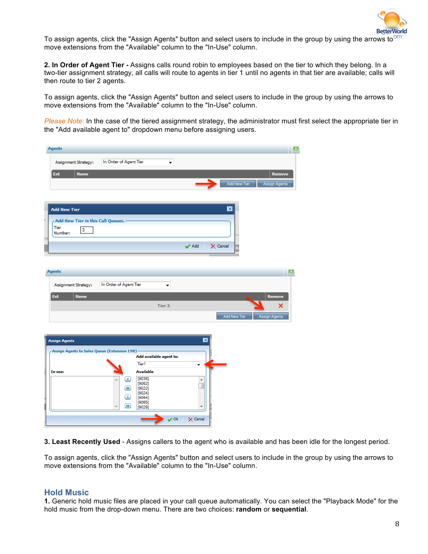

To assign agents, click the "Assign Agents" button and select users to include in the group by using the arrows to  $\sigma$ move extensions from the "Available" column to the "In-Use" column.

**2. In Order of Agent Tier -** Assigns calls round robin to employees based on the tier to which they belong. In a two-tier assignment strategy, all calls will route to agents in tier 1 until no agents in that tier are available; calls will then route to tier 2 agents.

To assign agents, click the "Assign Agents" button and select users to include in the group by using the arrows to move extensions from the "Available" column to the "In-Use" column.

*Please Note*: In the case of the tiered assignment strategy, the administrator must first select the appropriate tier in the "Add available agent to" dropdown menu before assigning users.

|     | <b>Agents</b>                                |                         |                         |                           |                           |                               | a. |
|-----|----------------------------------------------|-------------------------|-------------------------|---------------------------|---------------------------|-------------------------------|----|
|     | Assignment Strategy:                         | In Order of Agent Tier  | ۰                       |                           |                           |                               |    |
|     | Ext<br><b>Name</b>                           |                         |                         |                           |                           | <b>Remove</b>                 |    |
|     |                                              |                         |                         |                           | ∍                         | Add New Tier<br>Assign Agents |    |
|     |                                              |                         |                         |                           |                           |                               |    |
|     | <b>Add New Tier</b>                          |                         |                         |                           | $\boldsymbol{\mathsf{x}}$ |                               |    |
|     | Add New Tier in this Call Queues.            |                         |                         |                           |                           |                               |    |
|     | <b>Tier</b><br>3<br>Number:                  |                         |                         |                           |                           |                               |    |
| the |                                              |                         |                         | $\blacktriangleright$ Add | $\times$ Cancel           |                               |    |
|     |                                              |                         |                         |                           |                           |                               |    |
|     | <b>Agents</b>                                |                         |                         |                           |                           |                               |    |
|     |                                              |                         |                         |                           |                           |                               |    |
|     | Assignment Strategy:                         | In Order of Agent Tier  | ۰                       |                           |                           |                               |    |
|     | Ext<br><b>Name</b>                           |                         |                         |                           |                           | Remove                        |    |
|     |                                              |                         | Tier 3                  |                           |                           | ×                             |    |
|     |                                              |                         |                         |                           |                           | Add New Tier<br>Assign Agents |    |
|     |                                              |                         |                         |                           |                           |                               |    |
|     | <b>Assign Agents</b>                         |                         |                         | $\overline{\mathbf{x}}$   |                           |                               |    |
|     | Assign Agents to Sales Queue (Extension 198) |                         | Add available agent to: |                           |                           |                               |    |
|     |                                              |                         | Tier1                   | ▾                         |                           |                               |    |
|     | In-use:                                      |                         | <b>Available</b>        |                           |                           |                               |    |
|     |                                              | ▲<br>×.                 | [9038]                  | ۸                         |                           |                               |    |
|     |                                              | $\overline{\mathbf{H}}$ | [9062]<br>[9022]        |                           |                           |                               |    |
|     |                                              | P.                      | [9024]<br>[9064]        |                           |                           |                               |    |
|     |                                              | $\blacksquare$          | [9065]<br>[9029]        |                           |                           |                               |    |
|     |                                              |                         | $\vee$ Ok               | $\times$ Cancel           |                           |                               |    |
|     |                                              |                         |                         |                           |                           |                               |    |

**3. Least Recently Used** - Assigns callers to the agent who is available and has been idle for the longest period.

To assign agents, click the "Assign Agents" button and select users to include in the group by using the arrows to move extensions from the "Available" column to the "In-Use" column.

### **Hold Music**

**1.** Generic hold music files are placed in your call queue automatically. You can select the "Playback Mode" for the hold music from the drop-down menu. There are two choices: **random** or **sequential**.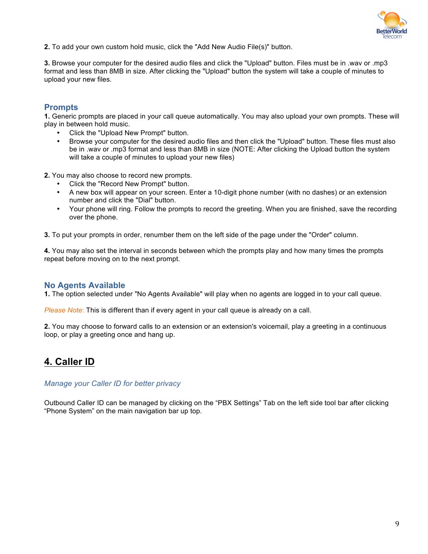

**2.** To add your own custom hold music, click the "Add New Audio File(s)" button.

**3.** Browse your computer for the desired audio files and click the "Upload" button. Files must be in .wav or .mp3 format and less than 8MB in size. After clicking the "Upload" button the system will take a couple of minutes to upload your new files.

### **Prompts**

**1.** Generic prompts are placed in your call queue automatically. You may also upload your own prompts. These will play in between hold music.

- Click the "Upload New Prompt" button.
- Browse your computer for the desired audio files and then click the "Upload" button. These files must also be in .wav or .mp3 format and less than 8MB in size (NOTE: After clicking the Upload button the system will take a couple of minutes to upload your new files)

**2.** You may also choose to record new prompts.

- Click the "Record New Prompt" button.
- A new box will appear on your screen. Enter a 10-digit phone number (with no dashes) or an extension number and click the "Dial" button.
- Your phone will ring. Follow the prompts to record the greeting. When you are finished, save the recording over the phone.

**3.** To put your prompts in order, renumber them on the left side of the page under the "Order" column.

**4.** You may also set the interval in seconds between which the prompts play and how many times the prompts repeat before moving on to the next prompt.

## **No Agents Available**

**1.** The option selected under "No Agents Available" will play when no agents are logged in to your call queue.

*Please Note*: This is different than if every agent in your call queue is already on a call.

**2.** You may choose to forward calls to an extension or an extension's voicemail, play a greeting in a continuous loop, or play a greeting once and hang up.

## **4. Caller ID**

#### *Manage your Caller ID for better privacy*

Outbound Caller ID can be managed by clicking on the "PBX Settings" Tab on the left side tool bar after clicking "Phone System" on the main navigation bar up top.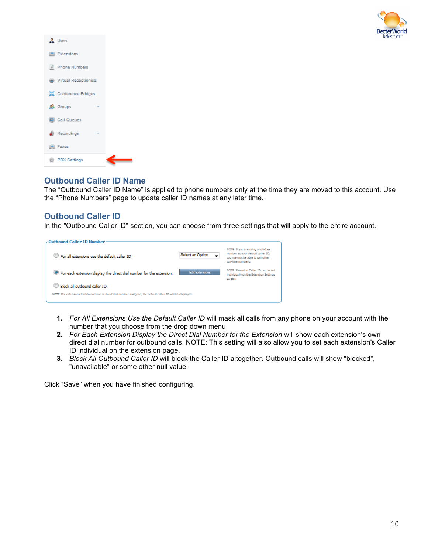

| & Users                    |  |
|----------------------------|--|
| <b>Extensions</b>          |  |
| # Phone Numbers            |  |
| Wirtual Receptionists      |  |
| <b>ALCONFERIDA Bridges</b> |  |
| <b>R</b> Groups            |  |
| Call Queues                |  |
| <b>B</b> Recordings        |  |
| <b>Faxes</b>               |  |
| <b>B</b> PBX Settings      |  |

## **Outbound Caller ID Name**

The "Outbound Caller ID Name" is applied to phone numbers only at the time they are moved to this account. Use the "Phone Numbers" page to update caller ID names at any later time.

## **Outbound Caller ID**

In the "Outbound Caller ID" section, you can choose from three settings that will apply to the entire account.



- **1.** *For All Extensions Use the Default Caller ID* will mask all calls from any phone on your account with the number that you choose from the drop down menu.
- **2.** *For Each Extension Display the Direct Dial Number for the Extension* will show each extension's own direct dial number for outbound calls. NOTE: This setting will also allow you to set each extension's Caller ID individual on the extension page.
- **3.** *Block All Outbound Caller ID* will block the Caller ID altogether. Outbound calls will show "blocked", "unavailable" or some other null value.

Click "Save" when you have finished configuring.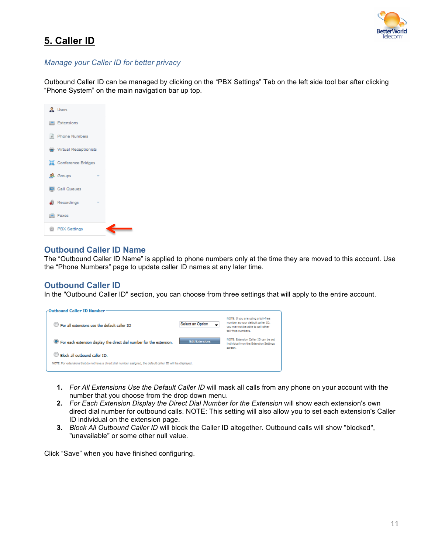

# **5. Caller ID**

### *Manage your Caller ID for better privacy*

Outbound Caller ID can be managed by clicking on the "PBX Settings" Tab on the left side tool bar after clicking "Phone System" on the main navigation bar up top.

| & Users                      |  |
|------------------------------|--|
| <b>Extensions</b>            |  |
| # Phone Numbers              |  |
| Wirtual Receptionists        |  |
| <b>SE</b> Conference Bridges |  |
| <b>鼎</b> Groups              |  |
| Call Queues                  |  |
| Recordings                   |  |
| <b>Faxes</b>                 |  |
| <b>B</b> PBX Settings        |  |

### **Outbound Caller ID Name**

The "Outbound Caller ID Name" is applied to phone numbers only at the time they are moved to this account. Use the "Phone Numbers" page to update caller ID names at any later time.

## **Outbound Caller ID**

In the "Outbound Caller ID" section, you can choose from three settings that will apply to the entire account.

| -Outbound Caller ID Number-                                                                                   |                        |                                                                                                                                    |  |  |  |
|---------------------------------------------------------------------------------------------------------------|------------------------|------------------------------------------------------------------------------------------------------------------------------------|--|--|--|
| <sup>1</sup> For all extensions use the default caller ID                                                     | Select an Option       | NOTE: If you are using a toll-free<br>number as your default caller ID.<br>you may not be able to call other<br>toll-free numbers. |  |  |  |
| <sup>(6)</sup> For each extension display the direct dial number for the extension.                           | <b>Edit Extensions</b> | NOTE: Extension Caller ID can be set<br>Individually on the Extension Settings<br>screen.                                          |  |  |  |
| Rock all outbound caller ID.                                                                                  |                        |                                                                                                                                    |  |  |  |
| NOTE: For extensions that do not have a direct dial number assigned, the default caller ID will be displayed. |                        |                                                                                                                                    |  |  |  |

- **1.** *For All Extensions Use the Default Caller ID* will mask all calls from any phone on your account with the number that you choose from the drop down menu.
- **2.** *For Each Extension Display the Direct Dial Number for the Extension* will show each extension's own direct dial number for outbound calls. NOTE: This setting will also allow you to set each extension's Caller ID individual on the extension page.
- **3.** *Block All Outbound Caller ID* will block the Caller ID altogether. Outbound calls will show "blocked", "unavailable" or some other null value.

Click "Save" when you have finished configuring.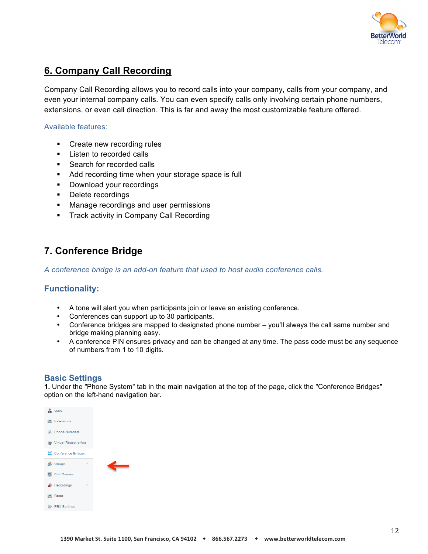

## **6. Company Call Recording**

Company Call Recording allows you to record calls into your company, calls from your company, and even your internal company calls. You can even specify calls only involving certain phone numbers, extensions, or even call direction. This is far and away the most customizable feature offered.

### Available features:

- Create new recording rules
- **Listen to recorded calls**
- Search for recorded calls
- Add recording time when your storage space is full
- **Download your recordings**
- **•** Delete recordings
- **Manage recordings and user permissions**
- **Track activity in Company Call Recording**

## **7. Conference Bridge**

*A conference bridge is an add-on feature that used to host audio conference calls.* 

### **Functionality:**

- A tone will alert you when participants join or leave an existing conference.
- Conferences can support up to 30 participants.
- Conference bridges are mapped to designated phone number you'll always the call same number and bridge making planning easy.
- A conference PIN ensures privacy and can be changed at any time. The pass code must be any sequence of numbers from 1 to 10 digits.

## **Basic Settings**

**1.** Under the "Phone System" tab in the main navigation at the top of the page, click the "Conference Bridges" option on the left-hand navigation bar.

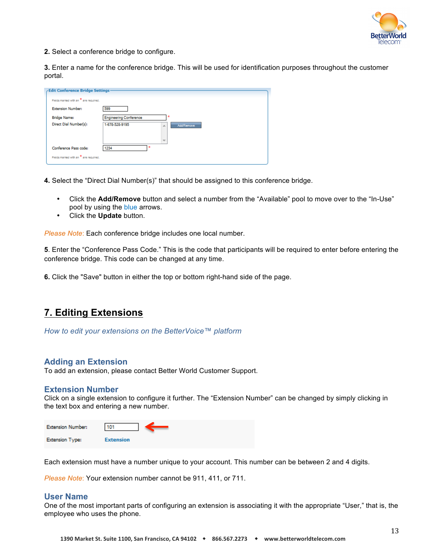

**2.** Select a conference bridge to configure.

**3.** Enter a name for the conference bridge. This will be used for identification purposes throughout the customer portal.

| Edit Conference Bridge Settings-      |                                   |
|---------------------------------------|-----------------------------------|
| Fields marked with an * are regulred. |                                   |
| <b>Extension Number:</b>              | 599                               |
| <b>Bridge Name:</b>                   | <b>Engineering Conference</b>     |
| Direct Dial Number(s):                | 1-678-528-9195<br>Add/Remove<br>业 |
|                                       |                                   |
|                                       | -                                 |
| Conference Pass code:                 | ×<br>1234                         |
| Fields marked with an * are required. |                                   |
|                                       |                                   |

**4.** Select the "Direct Dial Number(s)" that should be assigned to this conference bridge.

- Click the **Add/Remove** button and select a number from the "Available" pool to move over to the "In-Use" pool by using the blue arrows.
- Click the **Update** button.

*Please Note*: Each conference bridge includes one local number.

**5**. Enter the "Conference Pass Code." This is the code that participants will be required to enter before entering the conference bridge. This code can be changed at any time.

**6.** Click the "Save" button in either the top or bottom right-hand side of the page.

## **7. Editing Extensions**

*How to edit your extensions on the BetterVoice™ platform*

#### **Adding an Extension**

To add an extension, please contact Better World Customer Support.

#### **Extension Number**

Click on a single extension to configure it further. The "Extension Number" can be changed by simply clicking in the text box and entering a new number.

| <b>Extension Number:</b> | 101              |
|--------------------------|------------------|
| <b>Extension Type:</b>   | <b>Extension</b> |

Each extension must have a number unique to your account. This number can be between 2 and 4 digits.

*Please Note*: Your extension number cannot be 911, 411, or 711.

#### **User Name**

One of the most important parts of configuring an extension is associating it with the appropriate "User," that is, the employee who uses the phone.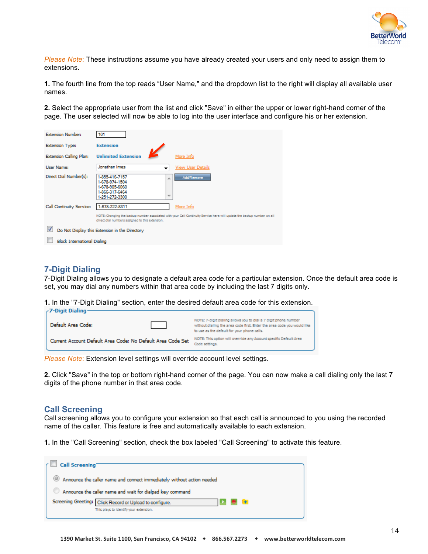

*Please Note*: These instructions assume you have already created your users and only need to assign them to extensions.

**1.** The fourth line from the top reads "User Name," and the dropdown list to the right will display all available user names.

**2.** Select the appropriate user from the list and click "Save" in either the upper or lower right-hand corner of the page. The user selected will now be able to log into the user interface and configure his or her extension.

| <b>Extension Number:</b>           | 101                                                                                                                     |                                                                                                                         |
|------------------------------------|-------------------------------------------------------------------------------------------------------------------------|-------------------------------------------------------------------------------------------------------------------------|
| <b>Extension Type:</b>             | <b>Extension</b>                                                                                                        |                                                                                                                         |
| <b>Extension Calling Plan:</b>     | <b>Unlimited Extension</b>                                                                                              | More Info                                                                                                               |
| User Name:                         | Jonathan Imes<br>▼                                                                                                      | View User Details                                                                                                       |
| Direct Dial Number(s):             | 1-855-416-7157<br>止<br>1-678-974-1504<br>1-678-905-6060<br>1-866-317-6464<br>$\overline{\phantom{a}}$<br>1-251-272-3300 | Add/Remove                                                                                                              |
| Call Continuity Service:           | 1-678-222-8311                                                                                                          | More Info                                                                                                               |
|                                    | direct dial numbers assigned to this extension.                                                                         | NOTE: Changing the backup number associated with your Call Continuity Service here will update the backup number on all |
|                                    | Do Not Display this Extension in the Directory                                                                          |                                                                                                                         |
| <b>Block International Dialing</b> |                                                                                                                         |                                                                                                                         |

### **7-Digit Dialing**

7-Digit Dialing allows you to designate a default area code for a particular extension. Once the default area code is set, you may dial any numbers within that area code by including the last 7 digits only.

**1.** In the "7-Digit Dialing" section, enter the desired default area code for this extension.

| ∕ 7-Digit Dialing∙                                          |                                                                                                                                                                                           |
|-------------------------------------------------------------|-------------------------------------------------------------------------------------------------------------------------------------------------------------------------------------------|
| Default Area Code:                                          | NOTE: 7-digit dialing allows you to dial a 7 digit phone number<br>without dialing the area code first. Enter the area code you would like<br>to use as the default for your phone calls. |
| Current Account Default Area Code: No Default Area Code Set | NOTE: This option will override any Account specific Default Area<br>Code settings.                                                                                                       |

*Please Note*: Extension level settings will override account level settings.

**2.** Click "Save" in the top or bottom right-hand corner of the page. You can now make a call dialing only the last 7 digits of the phone number in that area code.

#### **Call Screening**

Call screening allows you to configure your extension so that each call is announced to you using the recorded name of the caller. This feature is free and automatically available to each extension.

**1.** In the "Call Screening" section, check the box labeled "Call Screening" to activate this feature.

| Call Screening                                                                      |
|-------------------------------------------------------------------------------------|
| <sup>3</sup> Announce the caller name and connect immediately without action needed |
| Announce the caller name and wait for dialpad key command                           |
| Screening Greeting: Click Record or Upload to configure.                            |
| This plays to identify your extension.                                              |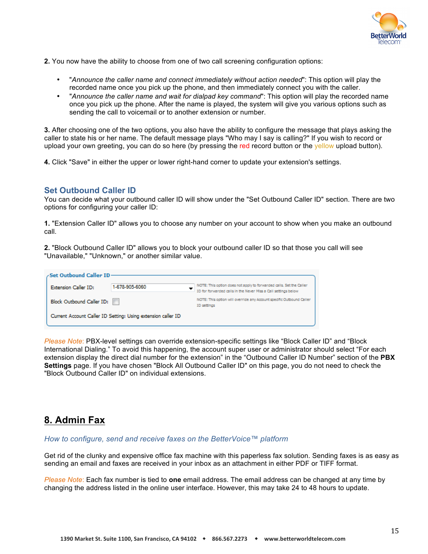

**2.** You now have the ability to choose from one of two call screening configuration options:

- "*Announce the caller name and connect immediately without action needed*": This option will play the recorded name once you pick up the phone, and then immediately connect you with the caller.
- "*Announce the caller name and wait for dialpad key command*": This option will play the recorded name once you pick up the phone. After the name is played, the system will give you various options such as sending the call to voicemail or to another extension or number.

**3.** After choosing one of the two options, you also have the ability to configure the message that plays asking the caller to state his or her name. The default message plays "Who may I say is calling?" If you wish to record or upload your own greeting, you can do so here (by pressing the red record button or the yellow upload button).

**4.** Click "Save" in either the upper or lower right-hand corner to update your extension's settings.

### **Set Outbound Caller ID**

You can decide what your outbound caller ID will show under the "Set Outbound Caller ID" section. There are two options for configuring your caller ID:

**1.** "Extension Caller ID" allows you to choose any number on your account to show when you make an outbound call.

**2.** "Block Outbound Caller ID" allows you to block your outbound caller ID so that those you call will see "Unavailable," "Unknown," or another similar value.

| Set Outbound Caller ID-     |                                                              |                                                                                                                                       |
|-----------------------------|--------------------------------------------------------------|---------------------------------------------------------------------------------------------------------------------------------------|
| <b>Extension Caller ID:</b> | 1-678-905-6060                                               | NOTE: This option does not apply to forwarded calls. Set the Caller<br>ID for forwarded calls in the Never Miss a Call settings below |
| Block Outbound Caller ID:   |                                                              | NOTE: This option will override any Account specific Outbound Caller<br>ID settings                                                   |
|                             | Current Account Caller ID Setting: Using extension caller ID |                                                                                                                                       |

*Please Note*: PBX-level settings can override extension-specific settings like "Block Caller ID" and "Block International Dialing." To avoid this happening, the account super user or administrator should select "For each extension display the direct dial number for the extension" in the "Outbound Caller ID Number" section of the **PBX Settings** page. If you have chosen "Block All Outbound Caller ID" on this page, you do not need to check the "Block Outbound Caller ID" on individual extensions.

## **8. Admin Fax**

*How to configure, send and receive faxes on the BetterVoice™ platform* 

Get rid of the clunky and expensive office fax machine with this paperless fax solution. Sending faxes is as easy as sending an email and faxes are received in your inbox as an attachment in either PDF or TIFF format.

*Please Note*: Each fax number is tied to **one** email address. The email address can be changed at any time by changing the address listed in the online user interface. However, this may take 24 to 48 hours to update.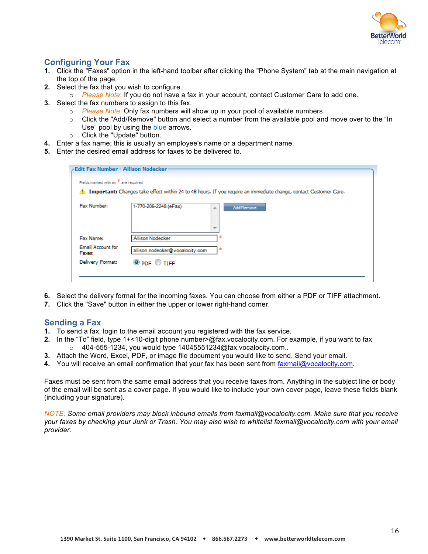

## **Configuring Your Fax**

- **1.** Click the "Faxes" option in the left-hand toolbar after clicking the "Phone System" tab at the main navigation at the top of the page.
- **2.** Select the fax that you wish to configure.
	- o *Please Note*: If you do not have a fax in your account, contact Customer Care to add one.
- **3.** Select the fax numbers to assign to this fax.
	- o *Please Note*: Only fax numbers will show up in your pool of available numbers.
	- o Click the "Add/Remove" button and select a number from the available pool and move over to the "In Use" pool by using the blue arrows.
	- o Click the "Update" button.
- **4.** Enter a fax name; this is usually an employee's name or a department name.
- **5.** Enter the desired email address for faxes to be delivered to.

| Fields marked with an * are regulred |                                                                                                                  |
|--------------------------------------|------------------------------------------------------------------------------------------------------------------|
|                                      | Important: Changes take effect within 24 to 48 hours. If you require an immediate change, contact Customer Care. |
| Fax Number:                          | 1-770-206-2248 (eFax)<br><b>Add/Remove</b><br>A.<br>$\overline{\phantom{a}}$                                     |
| Fax Name:                            | ×<br>Allison Nodecker                                                                                            |
| <b>Email Account for</b><br>Faxes:   | ÷<br>allison.nodecker@vocalocity.com                                                                             |
| Delivery Format:                     | $②$ PDF $③$ TIFF                                                                                                 |

- **6.** Select the delivery format for the incoming faxes. You can choose from either a PDF or TIFF attachment.
- **7.** Click the "Save" button in either the upper or lower right-hand corner.

### **Sending a Fax**

- **1.** To send a fax, login to the email account you registered with the fax service.
- **2.** In the "To" field, type 1+<10-digit phone number>@fax.vocalocity.com. For example, if you want to fax o 404-555-1234, you would type 14045551234@fax.vocalocity.com..
- **3.** Attach the Word, Excel, PDF, or image file document you would like to send. Send your email.
- **4.** You will receive an email confirmation that your fax has been sent from faxmail@vocalocity.com.

Faxes must be sent from the same email address that you receive faxes from. Anything in the subject line or body of the email will be sent as a cover page. If you would like to include your own cover page, leave these fields blank (including your signature).

*NOTE: Some email providers may block inbound emails from faxmail@vocalocity.com. Make sure that you receive your faxes by checking your Junk or Trash. You may also wish to whitelist faxmail@vocalocity.com with your email provider.*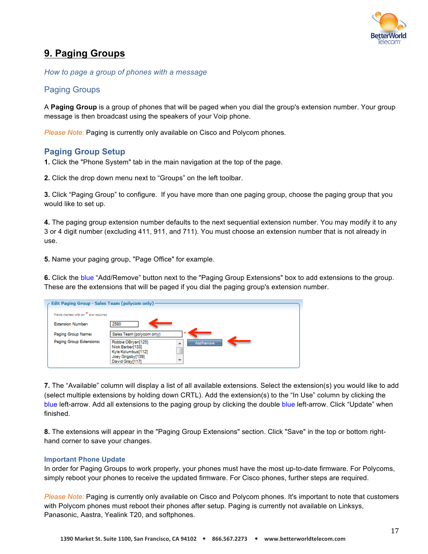

# **9. Paging Groups**

*How to page a group of phones with a message* 

## Paging Groups

A **Paging Group** is a group of phones that will be paged when you dial the group's extension number. Your group message is then broadcast using the speakers of your Voip phone.

*Please Note*: Paging is currently only available on Cisco and Polycom phones.

### **Paging Group Setup**

**1.** Click the "Phone System" tab in the main navigation at the top of the page.

**2.** Click the drop down menu next to "Groups" on the left toolbar.

**3.** Click "Paging Group" to configure. If you have more than one paging group, choose the paging group that you would like to set up.

**4.** The paging group extension number defaults to the next sequential extension number. You may modify it to any 3 or 4 digit number (excluding 411, 911, and 711). You must choose an extension number that is not already in use.

**5.** Name your paging group, "Page Office" for example.

**6.** Click the blue "Add/Remove" button next to the "Paging Group Extensions" box to add extensions to the group. These are the extensions that will be paged if you dial the paging group's extension number.

| Edit Paging Group - Sales Team (polycom only). |                                                                                                                                |
|------------------------------------------------|--------------------------------------------------------------------------------------------------------------------------------|
| Fields marked with an * are required           |                                                                                                                                |
| <b>Extension Number:</b>                       | 2580                                                                                                                           |
| Paging Group Name:                             | Sales Team (polycom only)                                                                                                      |
| Paging Group Extensions:                       | Robbie OBryan[125]<br><b>Add/Remove</b><br>A<br>Nick Barber[133]<br>Kyle Kolumbus[112]<br>Joey Grigsby[139]<br>David Gray[117] |

**7.** The "Available" column will display a list of all available extensions. Select the extension(s) you would like to add (select multiple extensions by holding down CRTL). Add the extension(s) to the "In Use" column by clicking the blue left-arrow. Add all extensions to the paging group by clicking the double blue left-arrow. Click "Update" when finished.

**8.** The extensions will appear in the "Paging Group Extensions" section. Click "Save" in the top or bottom righthand corner to save your changes.

#### **Important Phone Update**

In order for Paging Groups to work properly, your phones must have the most up-to-date firmware. For Polycoms, simply reboot your phones to receive the updated firmware. For Cisco phones, further steps are required.

*Please Note*: Paging is currently only available on Cisco and Polycom phones. It's important to note that customers with Polycom phones must reboot their phones after setup. Paging is currently not available on Linksys, Panasonic, Aastra, Yealink T20, and softphones.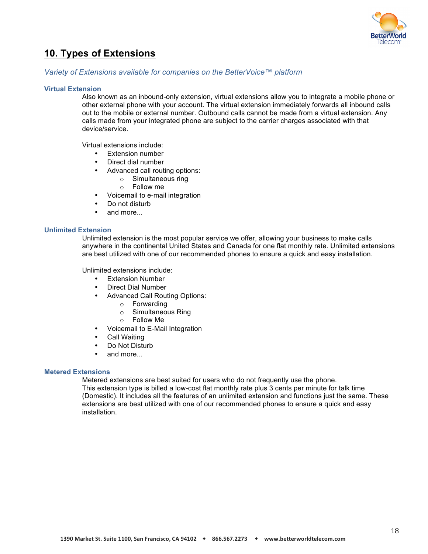

## **10. Types of Extensions**

#### *Variety of Extensions available for companies on the BetterVoice™ platform*

#### **Virtual Extension**

Also known as an inbound-only extension, virtual extensions allow you to integrate a mobile phone or other external phone with your account. The virtual extension immediately forwards all inbound calls out to the mobile or external number. Outbound calls cannot be made from a virtual extension. Any calls made from your integrated phone are subject to the carrier charges associated with that device/service.

Virtual extensions include:

- **Extension number**
- Direct dial number
	- Advanced call routing options:
		- o Simultaneous ring
		- o Follow me
- Voicemail to e-mail integration
	- Do not disturb
- and more...

#### **Unlimited Extension**

Unlimited extension is the most popular service we offer, allowing your business to make calls anywhere in the continental United States and Canada for one flat monthly rate. Unlimited extensions are best utilized with one of our recommended phones to ensure a quick and easy installation.

Unlimited extensions include:

- Extension Number
- Direct Dial Number
- Advanced Call Routing Options:
	- o Forwarding
	- o Simultaneous Ring
	- o Follow Me
- Voicemail to E-Mail Integration
- **Call Waiting**
- Do Not Disturb
- and more...

#### **Metered Extensions**

Metered extensions are best suited for users who do not frequently use the phone. This extension type is billed a low-cost flat monthly rate plus 3 cents per minute for talk time (Domestic). It includes all the features of an unlimited extension and functions just the same. These extensions are best utilized with one of our recommended phones to ensure a quick and easy installation.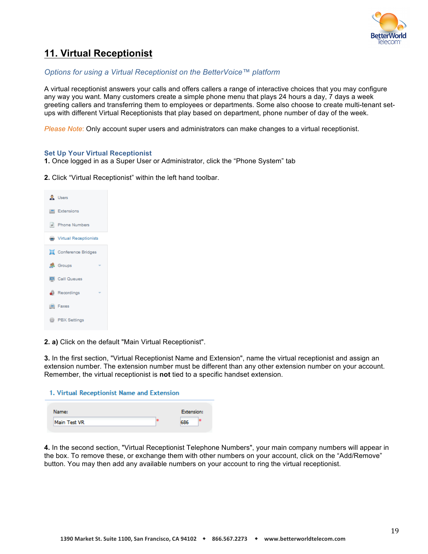

# **11. Virtual Receptionist**

#### *Options for using a Virtual Receptionist on the BetterVoice™ platform*

A virtual receptionist answers your calls and offers callers a range of interactive choices that you may configure any way you want. Many customers create a simple phone menu that plays 24 hours a day, 7 days a week greeting callers and transferring them to employees or departments. Some also choose to create multi-tenant setups with different Virtual Receptionists that play based on department, phone number of day of the week.

*Please Note*: Only account super users and administrators can make changes to a virtual receptionist.

#### **Set Up Your Virtual Receptionist**

**1.** Once logged in as a Super User or Administrator, click the "Phone System" tab

**2.** Click "Virtual Receptionist" within the left hand toolbar.

| & Users                                |  |
|----------------------------------------|--|
| <b>Extensions</b>                      |  |
| # Phone Numbers                        |  |
| Wirtual Receptionists                  |  |
| <b>SE</b> Conference Bridges           |  |
| <b>R</b> Groups<br>٠                   |  |
| Call Queues                            |  |
| Recordings<br>$\overline{\phantom{a}}$ |  |
| <b>E</b> Faxes                         |  |
| <b>BEX Settings</b>                    |  |

**2. a)** Click on the default "Main Virtual Receptionist".

**3.** In the first section, "Virtual Receptionist Name and Extension", name the virtual receptionist and assign an extension number. The extension number must be different than any other extension number on your account. Remember, the virtual receptionist is **not** tied to a specific handset extension.

| 1. Virtual Receptionist Name and Extension |            |
|--------------------------------------------|------------|
| Name:                                      | Extension: |

| Name:        | <b>Extension:</b> |  |
|--------------|-------------------|--|
| Main Test VR | CRC               |  |
|              |                   |  |

**4.** In the second section, "Virtual Receptionist Telephone Numbers", your main company numbers will appear in the box. To remove these, or exchange them with other numbers on your account, click on the "Add/Remove" button. You may then add any available numbers on your account to ring the virtual receptionist.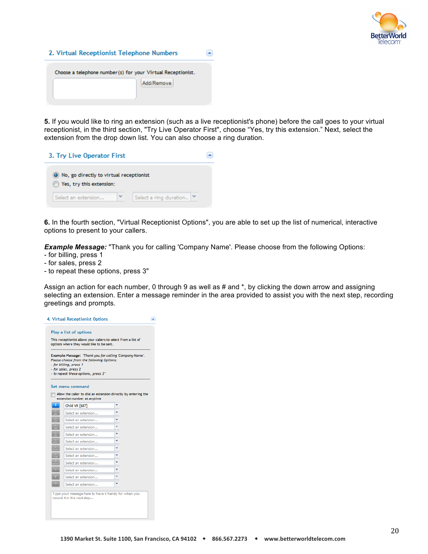

| 2. Virtual Receptionist Telephone Numbers                                  |  |
|----------------------------------------------------------------------------|--|
| Choose a telephone number (s) for your Virtual Receptionist.<br>Add/Remove |  |

**5.** If you would like to ring an extension (such as a live receptionist's phone) before the call goes to your virtual receptionist, in the third section, "Try Live Operator First", choose "Yes, try this extension." Next, select the extension from the drop down list. You can also choose a ring duration.

| 3. Try Live Operator First                                            |                        |  |
|-----------------------------------------------------------------------|------------------------|--|
| O No, go directly to virtual receptionist<br>Yes, try this extension: |                        |  |
| Select an extension                                                   | Select a ring duration |  |

**6.** In the fourth section, "Virtual Receptionist Options", you are able to set up the list of numerical, interactive options to present to your callers.

**Example Message:** "Thank you for calling 'Company Name'. Please choose from the following Options:

- for billing, press 1
- for sales, press 2
- to repeat these options, press 3"

Assign an action for each number, 0 through 9 as well as # and  $\star$ , by clicking the down arrow and assigning selecting an extension. Enter a message reminder in the area provided to assist you with the next step, recording greetings and prompts.

| Please choose from the following Options:<br>- for billing, press 1<br>- for sales, press 2<br>- to repeat these options, press 3" |   | Example Message: "Thank you for calling 'Company Name'. |
|------------------------------------------------------------------------------------------------------------------------------------|---|---------------------------------------------------------|
| Set menu command<br>Allow the caller to dial an extension directly by entering the<br>extension number at anytime                  |   |                                                         |
| Child VR [687]                                                                                                                     |   |                                                         |
| Select an extension                                                                                                                |   |                                                         |
| Select an extension                                                                                                                |   |                                                         |
| Select an extension                                                                                                                |   |                                                         |
| Select an extension                                                                                                                | v |                                                         |
| Select an extension                                                                                                                |   |                                                         |
|                                                                                                                                    |   |                                                         |
| Select an extension                                                                                                                |   |                                                         |
| Select an extension                                                                                                                | v |                                                         |
| Select an extension                                                                                                                | v |                                                         |
| Select an extension                                                                                                                |   |                                                         |
| Select an extension                                                                                                                |   |                                                         |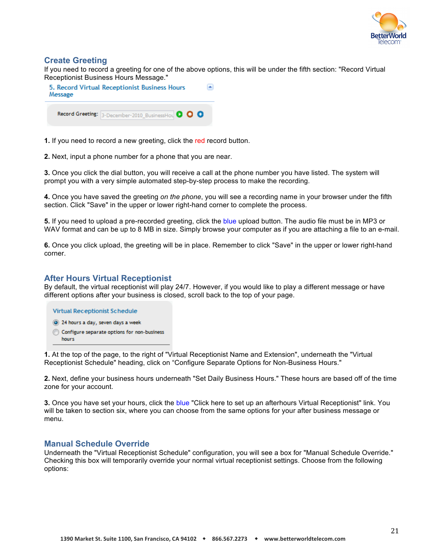

### **Create Greeting**

If you need to record a greeting for one of the above options, this will be under the fifth section: "Record Virtual Receptionist Business Hours Message."

| Message | 5. Record Virtual Receptionist Business Hours      |  |
|---------|----------------------------------------------------|--|
|         | Record Greeting: 3-December-2010 BusinessHou O O O |  |

**1.** If you need to record a new greeting, click the red record button.

**2.** Next, input a phone number for a phone that you are near.

**3.** Once you click the dial button, you will receive a call at the phone number you have listed. The system will prompt you with a very simple automated step-by-step process to make the recording.

**4.** Once you have saved the greeting *on the phone*, you will see a recording name in your browser under the fifth section. Click "Save" in the upper or lower right-hand corner to complete the process.

**5.** If you need to upload a pre-recorded greeting, click the blue upload button. The audio file must be in MP3 or WAV format and can be up to 8 MB in size. Simply browse your computer as if you are attaching a file to an e-mail.

**6.** Once you click upload, the greeting will be in place. Remember to click "Save" in the upper or lower right-hand corner.

### **After Hours Virtual Receptionist**

By default, the virtual receptionist will play 24/7. However, if you would like to play a different message or have different options after your business is closed, scroll back to the top of your page.

**Virtual Receptionist Schedule** 

- 24 hours a day, seven days a week
- Configure separate options for non-business hours.

**1.** At the top of the page, to the right of "Virtual Receptionist Name and Extension", underneath the "Virtual Receptionist Schedule" heading, click on "Configure Separate Options for Non-Business Hours."

**2.** Next, define your business hours underneath "Set Daily Business Hours." These hours are based off of the time zone for your account.

**3.** Once you have set your hours, click the blue "Click here to set up an afterhours Virtual Receptionist" link. You will be taken to section six, where you can choose from the same options for your after business message or menu.

#### **Manual Schedule Override**

Underneath the "Virtual Receptionist Schedule" configuration, you will see a box for "Manual Schedule Override." Checking this box will temporarily override your normal virtual receptionist settings. Choose from the following options: